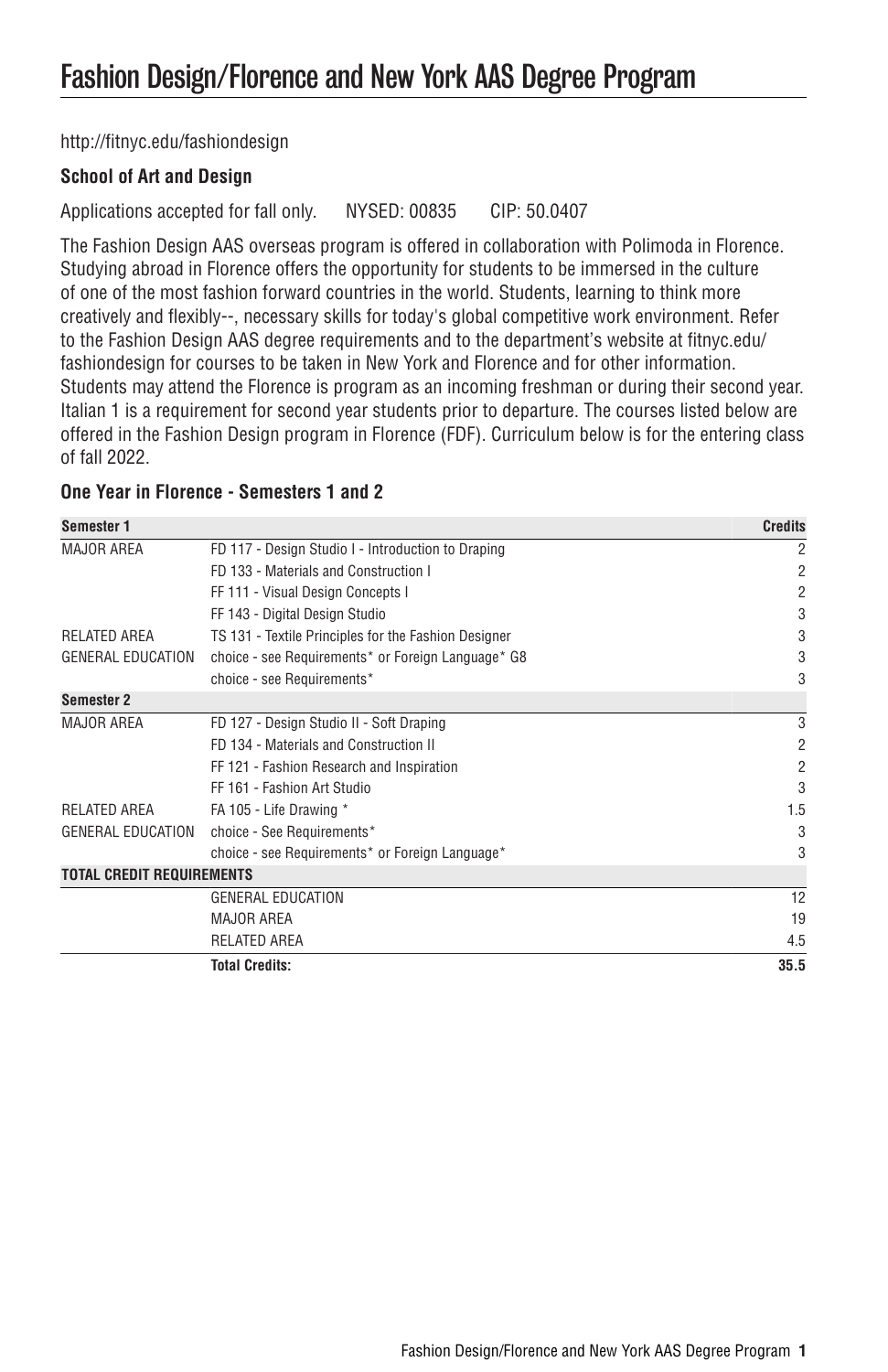[http://fitnyc.edu/fashiondesign](http://fitnyc.edu/fashiondesign/)

## **School of Art and Design**

Applications accepted for fall only. NYSED: 00835 CIP: 50.0407

The Fashion Design AAS overseas program is offered in collaboration with Polimoda in Florence. Studying abroad in Florence offers the opportunity for students to be immersed in the culture of one of the most fashion forward countries in the world. Students, learning to think more creatively and flexibly--, necessary skills for today's global competitive work environment. Refer to the Fashion Design AAS degree requirements and to the department's website at [fitnyc.edu/](http://www.fitnyc.edu/fashion-design/) [fashiondesign](http://www.fitnyc.edu/fashion-design/) for courses to be taken in New York and Florence and for other information. Students may attend the Florence is program as an incoming freshman or during their second year. Italian 1 is a requirement for second year students prior to departure. The courses listed below are offered in the Fashion Design program in Florence (FDF). Curriculum below is for the entering class of fall 2022.

# **One Year in Florence - Semesters 1 and 2**

| Semester 1                       |                                                      | <b>Credits</b> |
|----------------------------------|------------------------------------------------------|----------------|
| <b>MAJOR AREA</b>                | FD 117 - Design Studio I - Introduction to Draping   | 2              |
|                                  | FD 133 - Materials and Construction I                | 2              |
|                                  | FF 111 - Visual Design Concepts I                    | 2              |
|                                  | FF 143 - Digital Design Studio                       | 3              |
| <b>RELATED AREA</b>              | TS 131 - Textile Principles for the Fashion Designer | 3              |
| <b>GENERAL EDUCATION</b>         | choice - see Requirements* or Foreign Language* G8   | 3              |
|                                  | choice - see Requirements*                           | 3              |
| Semester 2                       |                                                      |                |
| <b>MAJOR AREA</b>                | FD 127 - Design Studio II - Soft Draping             | 3              |
|                                  | FD 134 - Materials and Construction II               | 2              |
|                                  | FF 121 - Fashion Research and Inspiration            | 2              |
|                                  | FF 161 - Fashion Art Studio                          | 3              |
| RELATED AREA                     | FA 105 - Life Drawing *                              | 1.5            |
| <b>GENERAL EDUCATION</b>         | choice - See Requirements*                           | 3              |
|                                  | choice - see Requirements* or Foreign Language*      | 3              |
| <b>TOTAL CREDIT REQUIREMENTS</b> |                                                      |                |
|                                  | <b>GENERAL EDUCATION</b>                             | 12             |
|                                  | <b>MAJOR AREA</b>                                    | 19             |
|                                  | RELATED AREA                                         | 4.5            |
|                                  | <b>Total Credits:</b>                                | 35.5           |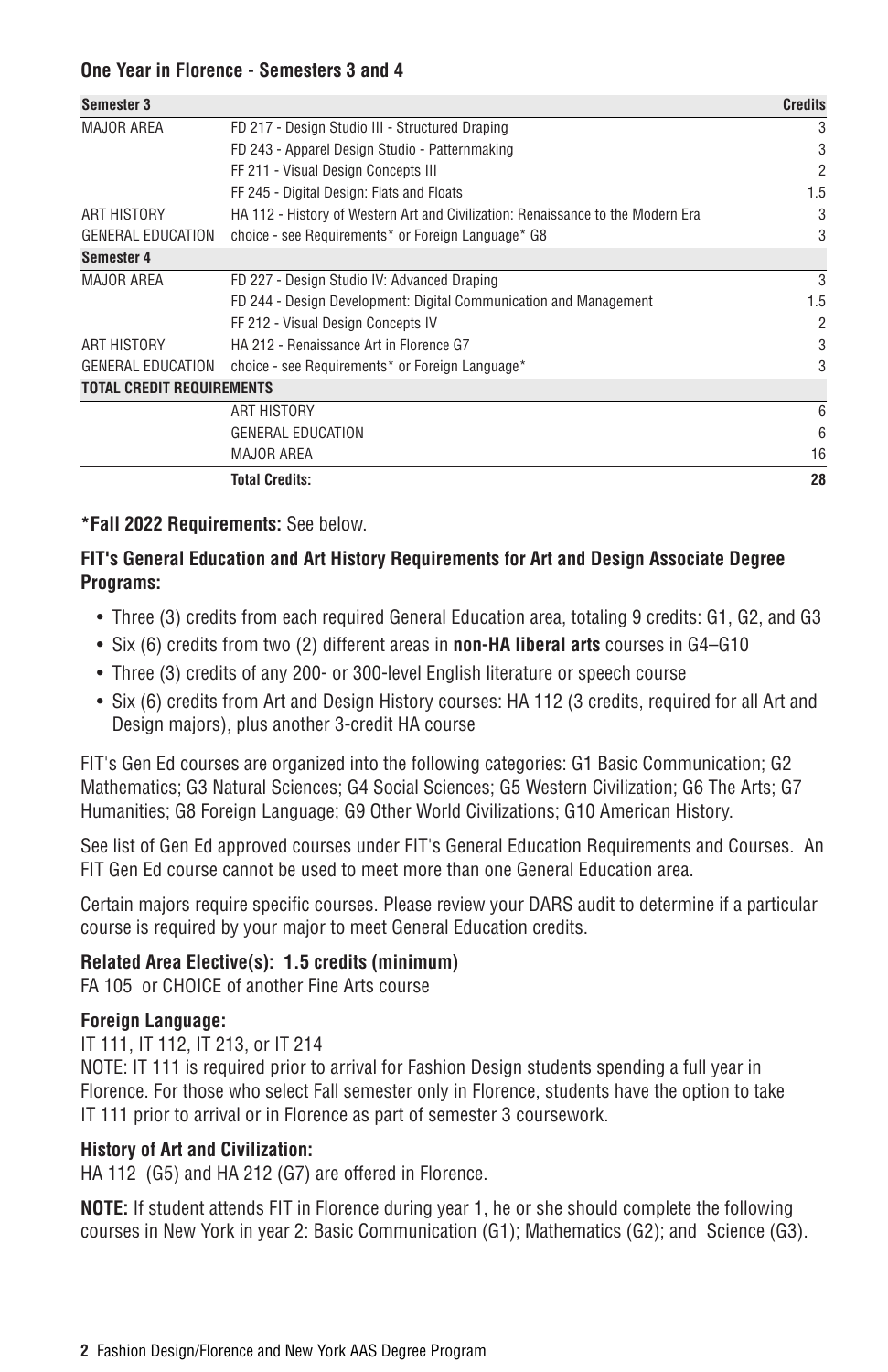### **One Year in Florence - Semesters 3 and 4**

| Semester 3                       |                                                                                 | <b>Credits</b> |
|----------------------------------|---------------------------------------------------------------------------------|----------------|
| <b>MAJOR AREA</b>                | FD 217 - Design Studio III - Structured Draping                                 |                |
|                                  | FD 243 - Apparel Design Studio - Patternmaking                                  | 3              |
|                                  | FF 211 - Visual Design Concepts III                                             | 2              |
|                                  | FF 245 - Digital Design: Flats and Floats                                       | 1.5            |
| ART HISTORY                      | HA 112 - History of Western Art and Civilization: Renaissance to the Modern Era | 3              |
| <b>GENERAL EDUCATION</b>         | choice - see Requirements* or Foreign Language* G8                              | 3              |
| Semester 4                       |                                                                                 |                |
| <b>MAJOR AREA</b>                | FD 227 - Design Studio IV: Advanced Draping                                     | 3              |
|                                  | FD 244 - Design Development: Digital Communication and Management               | 1.5            |
|                                  | FF 212 - Visual Design Concepts IV                                              | $\overline{2}$ |
| ART HISTORY                      | HA 212 - Renaissance Art in Florence G7                                         | 3              |
| <b>GENERAL EDUCATION</b>         | choice - see Requirements* or Foreign Language*                                 | 3              |
| <b>TOTAL CREDIT REQUIREMENTS</b> |                                                                                 |                |
|                                  | ART HISTORY                                                                     | 6              |
|                                  | <b>GENERAL EDUCATION</b>                                                        | 6              |
|                                  | <b>MAJOR AREA</b>                                                               | 16             |
|                                  | <b>Total Credits:</b>                                                           | 28             |

## **\*Fall 2022 Requirements:** See below.

# **FIT's General Education and Art History Requirements for Art and Design Associate Degree Programs:**

- Three (3) credits from each required General Education area, totaling 9 credits: G1, G2, and G3
- Six (6) credits from two (2) different areas in **non-HA liberal arts** courses in G4–G10
- Three (3) credits of any 200- or 300-level English literature or speech course
- Six (6) credits from Art and Design History courses: HA 112 (3 credits, required for all Art and Design majors), plus another 3-credit HA course

FIT's Gen Ed courses are organized into the following categories: G1 Basic Communication; G2 Mathematics; G3 Natural Sciences; G4 Social Sciences; G5 Western Civilization; G6 The Arts; G7 Humanities; G8 Foreign Language; G9 Other World Civilizations; G10 American History.

See list of Gen Ed approved courses under [FIT's General Education Requirements and Courses](http://catalog.fitnyc.edu/undergraduate/generaleducationrequirements/). An FIT Gen Ed course cannot be used to meet more than one General Education area.

Certain majors require specific courses. Please review your DARS audit to determine if a particular course is required by your major to meet General Education credits.

### **Related Area Elective(s): 1.5 credits (minimum)**

FA 105 or CHOICE of another Fine Arts course

### **Foreign Language:**

IT 111, IT 112, IT 213, or IT 214

NOTE: IT 111 is required prior to arrival for Fashion Design students spending a full year in Florence. For those who select Fall semester only in Florence, students have the option to take IT 111 prior to arrival or in Florence as part of semester 3 coursework.

### **History of Art and Civilization:**

HA 112 (G5) and HA 212 (G7) are offered in Florence.

**NOTE:** If student attends FIT in Florence during year 1, he or she should complete the following courses in New York in year 2: Basic Communication (G1); Mathematics (G2); and Science (G3).